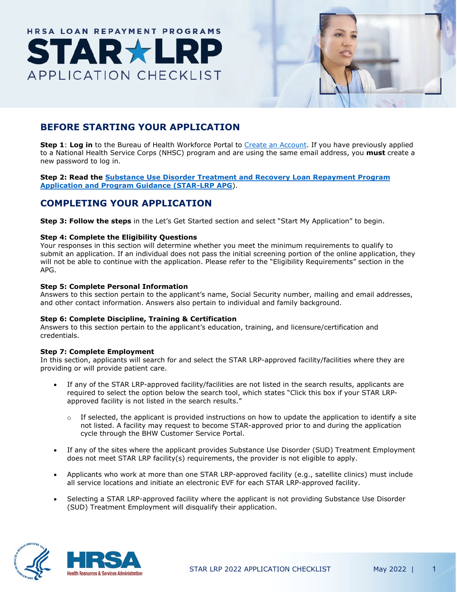# HRSA LOAN REPAYMENT PROGRAMS **APPLICATION CHECKLIST**



# **BEFORE STARTING YOUR APPLICATION**

**Step 1**: **Log in** to the Bureau of Health Workforce Portal to [Create an Account.](https://bhwnextgen.hrsa.gov/account-mgmt/registration?portal=NHSC_LRP_APPLICANT) If you have previously applied to a National Health Service Corps (NHSC) program and are using the same email address, you **must** create a new password to log in.

**Step 2: Read the Substance Use Disorder Treatment and Recovery [Loan Repayment Program](https://bhw.hrsa.gov/sites/default/files/bureau-health-workforce/funding/star-lrp-application-guidance.pdf) [Application and Program Guidance \(STAR-LRP APG](https://bhw.hrsa.gov/sites/default/files/bureau-health-workforce/funding/star-lrp-application-guidance.pdf)**).

# **COMPLETING YOUR APPLICATION**

**Step 3: Follow the steps** in the Let's Get Started section and select "Start My Application" to begin.

# **Step 4: Complete the Eligibility Questions**

Your responses in this section will determine whether you meet the minimum requirements to qualify to submit an application. If an individual does not pass the initial screening portion of the online application, they will not be able to continue with the application. Please refer to the "Eligibility Requirements" section in the APG.

# **Step 5: Complete Personal Information**

Answers to this section pertain to the applicant's name, Social Security number, mailing and email addresses, and other contact information. Answers also pertain to individual and family background.

# **Step 6: Complete Discipline, Training & Certification**

Answers to this section pertain to the applicant's education, training, and licensure/certification and credentials.

# **Step 7: Complete Employment**

In this section, applicants will search for and select the STAR LRP-approved facility/facilities where they are providing or will provide patient care.

- If any of the STAR LRP-approved facility/facilities are not listed in the search results, applicants are required to select the option below the search tool, which states "Click this box if your STAR LRPapproved facility is not listed in the search results."
	- $\circ$  If selected, the applicant is provided instructions on how to update the application to identify a site not listed. A facility may request to become STAR-approved prior to and during the application cycle through the BHW Customer Service Portal.
- If any of the sites where the applicant provides Substance Use Disorder (SUD) Treatment Employment does not meet STAR LRP facility(s) requirements, the provider is not eligible to apply.
- Applicants who work at more than one STAR LRP-approved facility (e.g., satellite clinics) must include all service locations and initiate an electronic EVF for each STAR LRP-approved facility.
- Selecting a STAR LRP-approved facility where the applicant is not providing Substance Use Disorder (SUD) Treatment Employment will disqualify their application.